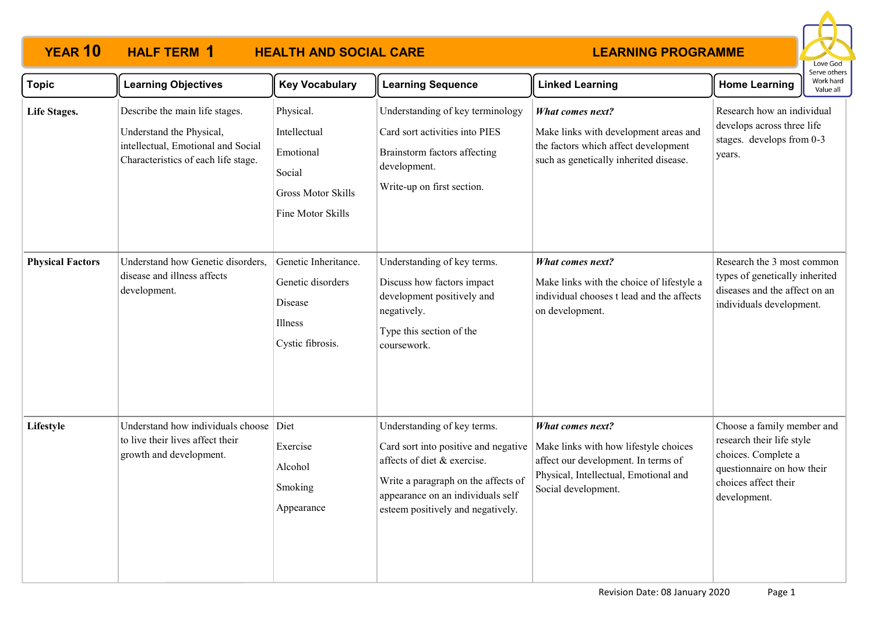## **YEAR 10 HALF TERM 1 HEALTH AND SOCIAL CARE HALF TERM 1**

## **LEARNING PROGRAMME**



| <b>Topic</b>            | <b>Learning Objectives</b>                                                                                                              | <b>Key Vocabulary</b>                                                                              | <b>Learning Sequence</b>                                                                                                                                                                                            | <b>Linked Learning</b>                                                                                                                                           | יוסיות של הייד<br>Work hard<br><b>Home Learning</b><br>Value all                                                                                     |  |
|-------------------------|-----------------------------------------------------------------------------------------------------------------------------------------|----------------------------------------------------------------------------------------------------|---------------------------------------------------------------------------------------------------------------------------------------------------------------------------------------------------------------------|------------------------------------------------------------------------------------------------------------------------------------------------------------------|------------------------------------------------------------------------------------------------------------------------------------------------------|--|
| Life Stages.            | Describe the main life stages.<br>Understand the Physical,<br>intellectual, Emotional and Social<br>Characteristics of each life stage. | Physical.<br>Intellectual<br>Emotional<br>Social<br><b>Gross Motor Skills</b><br>Fine Motor Skills | Understanding of key terminology<br>Card sort activities into PIES<br>Brainstorm factors affecting<br>development.<br>Write-up on first section.                                                                    | What comes next?<br>Make links with development areas and<br>the factors which affect development<br>such as genetically inherited disease.                      | Research how an individual<br>develops across three life<br>stages. develops from 0-3<br>years.                                                      |  |
| <b>Physical Factors</b> | Understand how Genetic disorders,<br>disease and illness affects<br>development.                                                        | Genetic Inheritance.<br>Genetic disorders<br>Disease<br>Illness<br>Cystic fibrosis.                | Understanding of key terms.<br>Discuss how factors impact<br>development positively and<br>negatively.<br>Type this section of the<br>coursework.                                                                   | <b>What comes next?</b><br>Make links with the choice of lifestyle a<br>individual chooses t lead and the affects<br>on development.                             | Research the 3 most common<br>types of genetically inherited<br>diseases and the affect on an<br>individuals development.                            |  |
| Lifestyle               | Understand how individuals choose<br>to live their lives affect their<br>growth and development.                                        | Diet<br>Exercise<br>Alcohol<br>Smoking<br>Appearance                                               | Understanding of key terms.<br>Card sort into positive and negative<br>affects of diet & exercise.<br>Write a paragraph on the affects of<br>appearance on an individuals self<br>esteem positively and negatively. | What comes next?<br>Make links with how lifestyle choices<br>affect our development. In terms of<br>Physical, Intellectual, Emotional and<br>Social development. | Choose a family member and<br>research their life style<br>choices. Complete a<br>questionnaire on how their<br>choices affect their<br>development. |  |